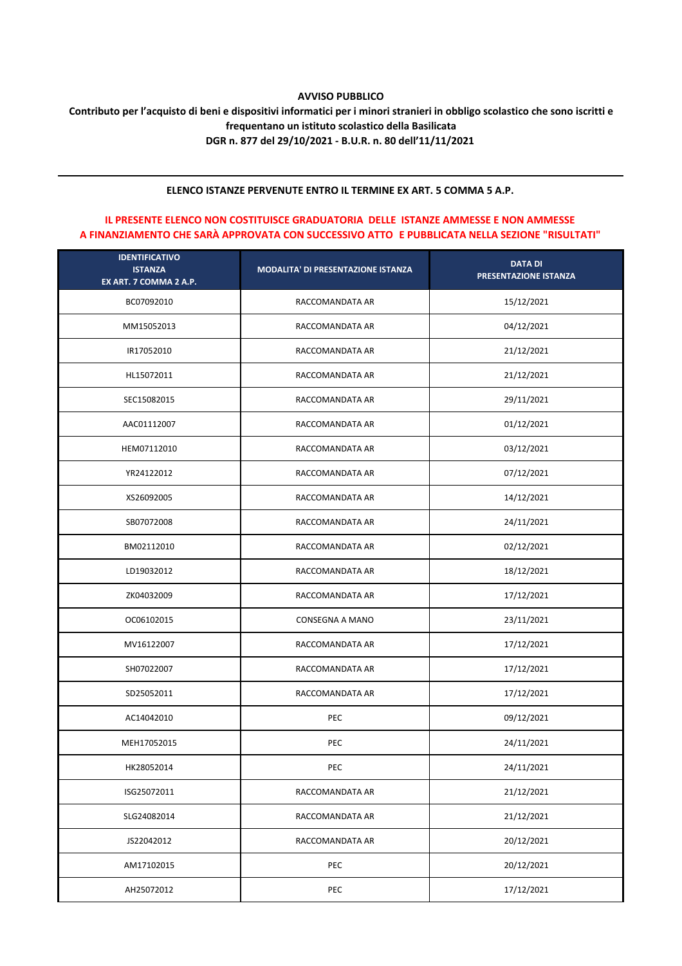## **AVVISO PUBBLICO Contributo per l'acquisto di beni e dispositivi informatici per i minori stranieri in obbligo scolastico che sono iscritti e frequentano un istituto scolastico della Basilicata DGR n. 877 del 29/10/2021 - B.U.R. n. 80 dell'11/11/2021**

## **ELENCO ISTANZE PERVENUTE ENTRO IL TERMINE EX ART. 5 COMMA 5 A.P.**

## **IL PRESENTE ELENCO NON COSTITUISCE GRADUATORIA DELLE ISTANZE AMMESSE E NON AMMESSE A FINANZIAMENTO CHE SARÀ APPROVATA CON SUCCESSIVO ATTO E PUBBLICATA NELLA SEZIONE "RISULTATI"**

| <b>IDENTIFICATIVO</b><br><b>ISTANZA</b><br>EX ART. 7 COMMA 2 A.P. | MODALITA' DI PRESENTAZIONE ISTANZA | <b>DATA DI</b><br>PRESENTAZIONE ISTANZA |
|-------------------------------------------------------------------|------------------------------------|-----------------------------------------|
| BC07092010                                                        | RACCOMANDATA AR                    | 15/12/2021                              |
| MM15052013                                                        | RACCOMANDATA AR                    | 04/12/2021                              |
| IR17052010                                                        | RACCOMANDATA AR                    | 21/12/2021                              |
| HL15072011                                                        | RACCOMANDATA AR                    | 21/12/2021                              |
| SEC15082015                                                       | RACCOMANDATA AR                    | 29/11/2021                              |
| AAC01112007                                                       | RACCOMANDATA AR                    | 01/12/2021                              |
| HEM07112010                                                       | RACCOMANDATA AR                    | 03/12/2021                              |
| YR24122012                                                        | RACCOMANDATA AR                    | 07/12/2021                              |
| XS26092005                                                        | RACCOMANDATA AR                    | 14/12/2021                              |
| SB07072008                                                        | RACCOMANDATA AR                    | 24/11/2021                              |
| BM02112010                                                        | RACCOMANDATA AR                    | 02/12/2021                              |
| LD19032012                                                        | RACCOMANDATA AR                    | 18/12/2021                              |
| ZK04032009                                                        | RACCOMANDATA AR                    | 17/12/2021                              |
| OC06102015                                                        | CONSEGNA A MANO                    | 23/11/2021                              |
| MV16122007                                                        | RACCOMANDATA AR                    | 17/12/2021                              |
| SH07022007                                                        | RACCOMANDATA AR                    | 17/12/2021                              |
| SD25052011                                                        | RACCOMANDATA AR                    | 17/12/2021                              |
| AC14042010                                                        | PEC                                | 09/12/2021                              |
| MEH17052015                                                       | PEC                                | 24/11/2021                              |
| HK28052014                                                        | PEC                                | 24/11/2021                              |
| ISG25072011                                                       | RACCOMANDATA AR                    | 21/12/2021                              |
| SLG24082014                                                       | RACCOMANDATA AR                    | 21/12/2021                              |
| JS22042012                                                        | RACCOMANDATA AR                    | 20/12/2021                              |
| AM17102015                                                        | PEC                                | 20/12/2021                              |
| AH25072012                                                        | PEC                                | 17/12/2021                              |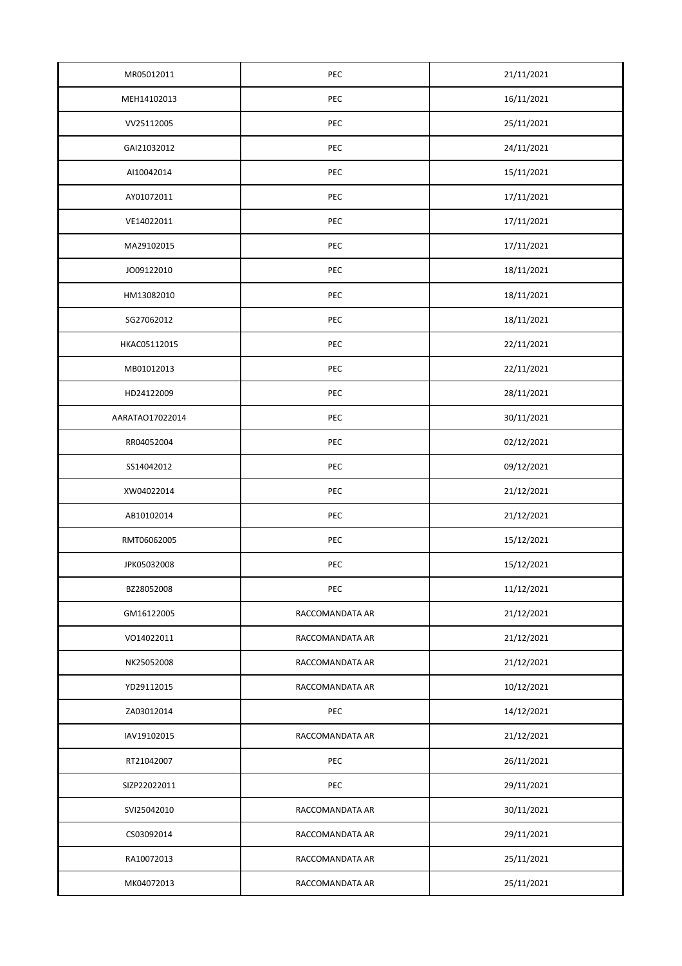| MR05012011      | PEC             | 21/11/2021 |
|-----------------|-----------------|------------|
| MEH14102013     | PEC             | 16/11/2021 |
| VV25112005      | PEC             | 25/11/2021 |
| GAI21032012     | <b>PEC</b>      | 24/11/2021 |
| AI10042014      | PEC             | 15/11/2021 |
| AY01072011      | PEC             | 17/11/2021 |
| VE14022011      | PEC             | 17/11/2021 |
| MA29102015      | PEC             | 17/11/2021 |
| JO09122010      | PEC             | 18/11/2021 |
| HM13082010      | PEC             | 18/11/2021 |
| SG27062012      | PEC             | 18/11/2021 |
| HKAC05112015    | PEC             | 22/11/2021 |
| MB01012013      | PEC             | 22/11/2021 |
| HD24122009      | PEC             | 28/11/2021 |
| AARATAO17022014 | PEC             | 30/11/2021 |
| RR04052004      | PEC             | 02/12/2021 |
| SS14042012      | PEC             | 09/12/2021 |
| XW04022014      | PEC             | 21/12/2021 |
| AB10102014      | PEC             | 21/12/2021 |
| RMT06062005     | PEC             | 15/12/2021 |
| JPK05032008     | PEC             | 15/12/2021 |
| BZ28052008      | PEC             | 11/12/2021 |
| GM16122005      | RACCOMANDATA AR | 21/12/2021 |
| VO14022011      | RACCOMANDATA AR | 21/12/2021 |
| NK25052008      | RACCOMANDATA AR | 21/12/2021 |
| YD29112015      | RACCOMANDATA AR | 10/12/2021 |
| ZA03012014      | PEC             | 14/12/2021 |
| IAV19102015     | RACCOMANDATA AR | 21/12/2021 |
| RT21042007      | PEC             | 26/11/2021 |
| SIZP22022011    | PEC             | 29/11/2021 |
| SVI25042010     | RACCOMANDATA AR | 30/11/2021 |
| CS03092014      | RACCOMANDATA AR | 29/11/2021 |
| RA10072013      | RACCOMANDATA AR | 25/11/2021 |
| MK04072013      | RACCOMANDATA AR | 25/11/2021 |